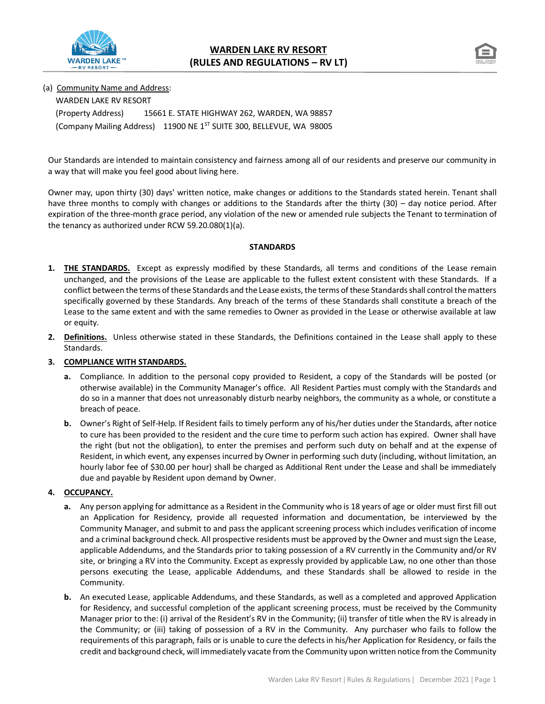



(a) Community Name and Address:

WARDEN LAKE RV RESORT (Property Address) 15661 E. STATE HIGHWAY 262, WARDEN, WA 98857 (Company Mailing Address) 11900 NE 1ST SUITE 300, BELLEVUE, WA 98005

Our Standards are intended to maintain consistency and fairness among all of our residents and preserve our community in a way that will make you feel good about living here.

Owner may, upon thirty (30) days' written notice, make changes or additions to the Standards stated herein. Tenant shall have three months to comply with changes or additions to the Standards after the thirty (30) – day notice period. After expiration of the three-month grace period, any violation of the new or amended rule subjects the Tenant to termination of the tenancy as authorized under RCW 59.20.080(1)(a).

## **STANDARDS**

- **1. THE STANDARDS.** Except as expressly modified by these Standards, all terms and conditions of the Lease remain unchanged, and the provisions of the Lease are applicable to the fullest extent consistent with these Standards. If a conflict between the terms of these Standards and the Lease exists, the terms of these Standards shall control the matters specifically governed by these Standards. Any breach of the terms of these Standards shall constitute a breach of the Lease to the same extent and with the same remedies to Owner as provided in the Lease or otherwise available at law or equity.
- **2. Definitions.** Unless otherwise stated in these Standards, the Definitions contained in the Lease shall apply to these Standards.

## **3. COMPLIANCE WITH STANDARDS.**

- **a.** Compliance. In addition to the personal copy provided to Resident, a copy of the Standards will be posted (or otherwise available) in the Community Manager's office. All Resident Parties must comply with the Standards and do so in a manner that does not unreasonably disturb nearby neighbors, the community as a whole, or constitute a breach of peace.
- **b.** Owner's Right of Self-Help. If Resident fails to timely perform any of his/her duties under the Standards, after notice to cure has been provided to the resident and the cure time to perform such action has expired. Owner shall have the right (but not the obligation), to enter the premises and perform such duty on behalf and at the expense of Resident, in which event, any expenses incurred by Owner in performing such duty (including, without limitation, an hourly labor fee of \$30.00 per hour) shall be charged as Additional Rent under the Lease and shall be immediately due and payable by Resident upon demand by Owner.

## **4. OCCUPANCY.**

- **a.** Any person applying for admittance as a Resident in the Community who is 18 years of age or older must first fill out an Application for Residency, provide all requested information and documentation, be interviewed by the Community Manager, and submit to and pass the applicant screening process which includes verification of income and a criminal background check. All prospective residents must be approved by the Owner and must sign the Lease, applicable Addendums, and the Standards prior to taking possession of a RV currently in the Community and/or RV site, or bringing a RV into the Community. Except as expressly provided by applicable Law, no one other than those persons executing the Lease, applicable Addendums, and these Standards shall be allowed to reside in the Community.
- **b.** An executed Lease, applicable Addendums, and these Standards, as well as a completed and approved Application for Residency, and successful completion of the applicant screening process, must be received by the Community Manager prior to the: (i) arrival of the Resident's RV in the Community; (ii) transfer of title when the RV is already in the Community; or (iii) taking of possession of a RV in the Community. Any purchaser who fails to follow the requirements of this paragraph, fails or is unable to cure the defects in his/her Application for Residency, or fails the credit and background check, will immediately vacate from the Community upon written notice from the Community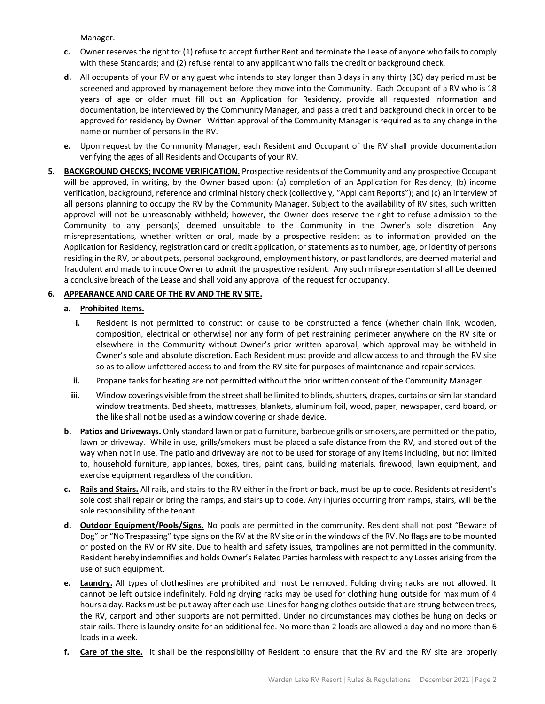Manager.

- **c.** Owner reserves the right to: (1) refuse to accept further Rent and terminate the Lease of anyone who fails to comply with these Standards; and (2) refuse rental to any applicant who fails the credit or background check.
- **d.** All occupants of your RV or any guest who intends to stay longer than 3 days in any thirty (30) day period must be screened and approved by management before they move into the Community. Each Occupant of a RV who is 18 years of age or older must fill out an Application for Residency, provide all requested information and documentation, be interviewed by the Community Manager, and pass a credit and background check in order to be approved for residency by Owner. Written approval of the Community Manager is required as to any change in the name or number of persons in the RV.
- **e.** Upon request by the Community Manager, each Resident and Occupant of the RV shall provide documentation verifying the ages of all Residents and Occupants of your RV.
- **5. BACKGROUND CHECKS; INCOME VERIFICATION.** Prospective residents of the Community and any prospective Occupant will be approved, in writing, by the Owner based upon: (a) completion of an Application for Residency; (b) income verification, background, reference and criminal history check (collectively, "Applicant Reports"); and (c) an interview of all persons planning to occupy the RV by the Community Manager. Subject to the availability of RV sites, such written approval will not be unreasonably withheld; however, the Owner does reserve the right to refuse admission to the Community to any person(s) deemed unsuitable to the Community in the Owner's sole discretion. Any misrepresentations, whether written or oral, made by a prospective resident as to information provided on the Application for Residency, registration card or credit application, or statements as to number, age, or identity of persons residing in the RV, or about pets, personal background, employment history, or past landlords, are deemed material and fraudulent and made to induce Owner to admit the prospective resident. Any such misrepresentation shall be deemed a conclusive breach of the Lease and shall void any approval of the request for occupancy.

# **6. APPEARANCE AND CARE OF THE RV AND THE RV SITE.**

# **a. Prohibited Items.**

- **i.** Resident is not permitted to construct or cause to be constructed a fence (whether chain link, wooden, composition, electrical or otherwise) nor any form of pet restraining perimeter anywhere on the RV site or elsewhere in the Community without Owner's prior written approval, which approval may be withheld in Owner's sole and absolute discretion. Each Resident must provide and allow access to and through the RV site so as to allow unfettered access to and from the RV site for purposes of maintenance and repair services.
- **ii.** Propane tanks for heating are not permitted without the prior written consent of the Community Manager.
- **iii.** Window coverings visible from the street shall be limited to blinds, shutters, drapes, curtains or similar standard window treatments. Bed sheets, mattresses, blankets, aluminum foil, wood, paper, newspaper, card board, or the like shall not be used as a window covering or shade device.
- **b. Patios and Driveways.** Only standard lawn or patio furniture, barbecue grills or smokers, are permitted on the patio, lawn or driveway. While in use, grills/smokers must be placed a safe distance from the RV, and stored out of the way when not in use. The patio and driveway are not to be used for storage of any items including, but not limited to, household furniture, appliances, boxes, tires, paint cans, building materials, firewood, lawn equipment, and exercise equipment regardless of the condition.
- **c. Rails and Stairs.** All rails, and stairs to the RV either in the front or back, must be up to code. Residents at resident's sole cost shall repair or bring the ramps, and stairs up to code. Any injuries occurring from ramps, stairs, will be the sole responsibility of the tenant.
- **d. Outdoor Equipment/Pools/Signs.** No pools are permitted in the community. Resident shall not post "Beware of Dog" or "No Trespassing" type signs on the RV at the RV site or in the windows of the RV. No flags are to be mounted or posted on the RV or RV site. Due to health and safety issues, trampolines are not permitted in the community. Resident hereby indemnifies and holds Owner's Related Parties harmless with respect to any Losses arising from the use of such equipment.
- **e. Laundry.** All types of clotheslines are prohibited and must be removed. Folding drying racks are not allowed. It cannot be left outside indefinitely. Folding drying racks may be used for clothing hung outside for maximum of 4 hours a day. Racks must be put away after each use. Lines for hanging clothes outside that are strung between trees, the RV, carport and other supports are not permitted. Under no circumstances may clothes be hung on decks or stair rails. There is laundry onsite for an additional fee. No more than 2 loads are allowed a day and no more than 6 loads in a week.
- **f. Care of the site.** It shall be the responsibility of Resident to ensure that the RV and the RV site are properly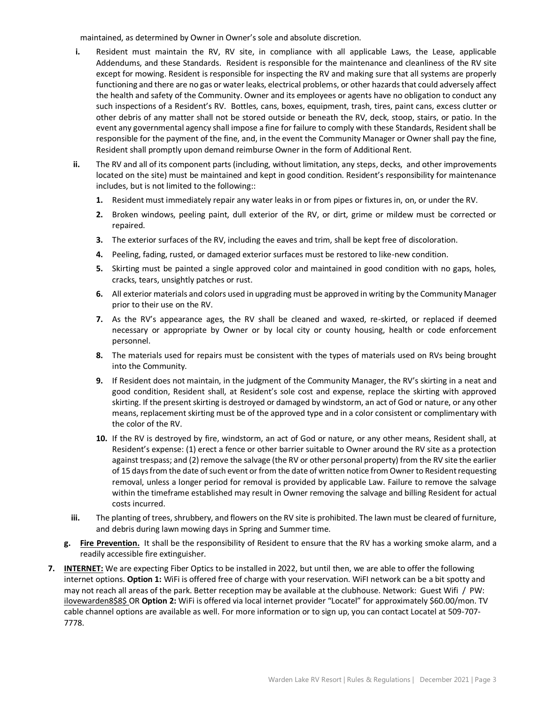maintained, as determined by Owner in Owner's sole and absolute discretion.

- **i.** Resident must maintain the RV, RV site, in compliance with all applicable Laws, the Lease, applicable Addendums, and these Standards. Resident is responsible for the maintenance and cleanliness of the RV site except for mowing. Resident is responsible for inspecting the RV and making sure that all systems are properly functioning and there are no gas or water leaks, electrical problems, or other hazards that could adversely affect the health and safety of the Community. Owner and its employees or agents have no obligation to conduct any such inspections of a Resident's RV. Bottles, cans, boxes, equipment, trash, tires, paint cans, excess clutter or other debris of any matter shall not be stored outside or beneath the RV, deck, stoop, stairs, or patio. In the event any governmental agency shall impose a fine for failure to comply with these Standards, Resident shall be responsible for the payment of the fine, and, in the event the Community Manager or Owner shall pay the fine, Resident shall promptly upon demand reimburse Owner in the form of Additional Rent.
- **ii.** The RV and all of its component parts (including, without limitation, any steps, decks, and other improvements located on the site) must be maintained and kept in good condition. Resident's responsibility for maintenance includes, but is not limited to the following::
	- **1.** Resident must immediately repair any water leaks in or from pipes or fixtures in, on, or under the RV.
	- **2.** Broken windows, peeling paint, dull exterior of the RV, or dirt, grime or mildew must be corrected or repaired.
	- **3.** The exterior surfaces of the RV, including the eaves and trim, shall be kept free of discoloration.
	- **4.** Peeling, fading, rusted, or damaged exterior surfaces must be restored to like-new condition.
	- **5.** Skirting must be painted a single approved color and maintained in good condition with no gaps, holes, cracks, tears, unsightly patches or rust.
	- **6.** All exterior materials and colors used in upgrading must be approved in writing by the Community Manager prior to their use on the RV.
	- **7.** As the RV's appearance ages, the RV shall be cleaned and waxed, re-skirted, or replaced if deemed necessary or appropriate by Owner or by local city or county housing, health or code enforcement personnel.
	- **8.** The materials used for repairs must be consistent with the types of materials used on RVs being brought into the Community.
	- **9.** If Resident does not maintain, in the judgment of the Community Manager, the RV's skirting in a neat and good condition, Resident shall, at Resident's sole cost and expense, replace the skirting with approved skirting. If the present skirting is destroyed or damaged by windstorm, an act of God or nature, or any other means, replacement skirting must be of the approved type and in a color consistent or complimentary with the color of the RV.
	- **10.** If the RV is destroyed by fire, windstorm, an act of God or nature, or any other means, Resident shall, at Resident's expense: (1) erect a fence or other barrier suitable to Owner around the RV site as a protection against trespass; and (2) remove the salvage (the RV or other personal property) from the RV site the earlier of 15 days from the date of such event or from the date of written notice from Owner to Resident requesting removal, unless a longer period for removal is provided by applicable Law. Failure to remove the salvage within the timeframe established may result in Owner removing the salvage and billing Resident for actual costs incurred.
- **iii.** The planting of trees, shrubbery, and flowers on the RV site is prohibited. The lawn must be cleared of furniture, and debris during lawn mowing days in Spring and Summer time.
- **g. Fire Prevention.** It shall be the responsibility of Resident to ensure that the RV has a working smoke alarm, and a readily accessible fire extinguisher.
- **7. INTERNET:** We are expecting Fiber Optics to be installed in 2022, but until then, we are able to offer the following internet options. **Option 1:** WiFi is offered free of charge with your reservation. WiFI network can be a bit spotty and may not reach all areas of the park. Better reception may be available at the clubhouse. Network: Guest Wifi / PW: ilovewarden8\$8\$ OR **Option 2:** WiFi is offered via local internet provider "Locatel" for approximately \$60.00/mon. TV cable channel options are available as well. For more information or to sign up, you can contact Locatel at 509-707- 7778.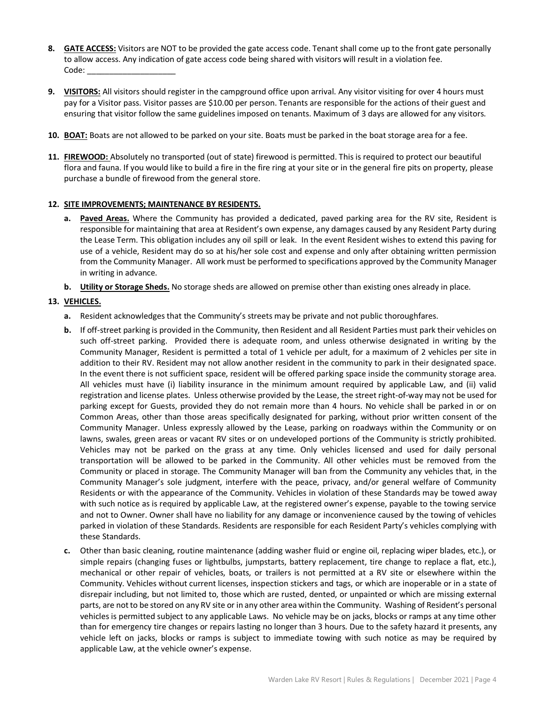- **8. GATE ACCESS:** Visitors are NOT to be provided the gate access code. Tenant shall come up to the front gate personally to allow access. Any indication of gate access code being shared with visitors will result in a violation fee. Code:
- **9. VISITORS:** All visitors should register in the campground office upon arrival. Any visitor visiting for over 4 hours must pay for a Visitor pass. Visitor passes are \$10.00 per person. Tenants are responsible for the actions of their guest and ensuring that visitor follow the same guidelines imposed on tenants. Maximum of 3 days are allowed for any visitors.
- **10. BOAT:** Boats are not allowed to be parked on your site. Boats must be parked in the boat storage area for a fee.
- **11. FIREWOOD:** Absolutely no transported (out of state) firewood is permitted. This is required to protect our beautiful flora and fauna. If you would like to build a fire in the fire ring at your site or in the general fire pits on property, please purchase a bundle of firewood from the general store.

#### **12. SITE IMPROVEMENTS; MAINTENANCE BY RESIDENTS.**

- **a. Paved Areas.** Where the Community has provided a dedicated, paved parking area for the RV site, Resident is responsible for maintaining that area at Resident's own expense, any damages caused by any Resident Party during the Lease Term. This obligation includes any oil spill or leak. In the event Resident wishes to extend this paving for use of a vehicle, Resident may do so at his/her sole cost and expense and only after obtaining written permission from the Community Manager. All work must be performed to specifications approved by the Community Manager in writing in advance.
- **b. Utility or Storage Sheds.** No storage sheds are allowed on premise other than existing ones already in place.

#### **13. VEHICLES.**

- **a.** Resident acknowledges that the Community's streets may be private and not public thoroughfares.
- **b.** If off-street parking is provided in the Community, then Resident and all Resident Parties must park their vehicles on such off-street parking. Provided there is adequate room, and unless otherwise designated in writing by the Community Manager, Resident is permitted a total of 1 vehicle per adult, for a maximum of 2 vehicles per site in addition to their RV. Resident may not allow another resident in the community to park in their designated space. In the event there is not sufficient space, resident will be offered parking space inside the community storage area. All vehicles must have (i) liability insurance in the minimum amount required by applicable Law, and (ii) valid registration and license plates. Unless otherwise provided by the Lease, the street right-of-way may not be used for parking except for Guests, provided they do not remain more than 4 hours. No vehicle shall be parked in or on Common Areas, other than those areas specifically designated for parking, without prior written consent of the Community Manager. Unless expressly allowed by the Lease, parking on roadways within the Community or on lawns, swales, green areas or vacant RV sites or on undeveloped portions of the Community is strictly prohibited. Vehicles may not be parked on the grass at any time. Only vehicles licensed and used for daily personal transportation will be allowed to be parked in the Community. All other vehicles must be removed from the Community or placed in storage. The Community Manager will ban from the Community any vehicles that, in the Community Manager's sole judgment, interfere with the peace, privacy, and/or general welfare of Community Residents or with the appearance of the Community. Vehicles in violation of these Standards may be towed away with such notice as is required by applicable Law, at the registered owner's expense, payable to the towing service and not to Owner. Owner shall have no liability for any damage or inconvenience caused by the towing of vehicles parked in violation of these Standards. Residents are responsible for each Resident Party's vehicles complying with these Standards.
- **c.** Other than basic cleaning, routine maintenance (adding washer fluid or engine oil, replacing wiper blades, etc.), or simple repairs (changing fuses or lightbulbs, jumpstarts, battery replacement, tire change to replace a flat, etc.), mechanical or other repair of vehicles, boats, or trailers is not permitted at a RV site or elsewhere within the Community. Vehicles without current licenses, inspection stickers and tags, or which are inoperable or in a state of disrepair including, but not limited to, those which are rusted, dented, or unpainted or which are missing external parts, are not to be stored on any RV site or in any other area within the Community. Washing of Resident's personal vehicles is permitted subject to any applicable Laws. No vehicle may be on jacks, blocks or ramps at any time other than for emergency tire changes or repairs lasting no longer than 3 hours. Due to the safety hazard it presents, any vehicle left on jacks, blocks or ramps is subject to immediate towing with such notice as may be required by applicable Law, at the vehicle owner's expense.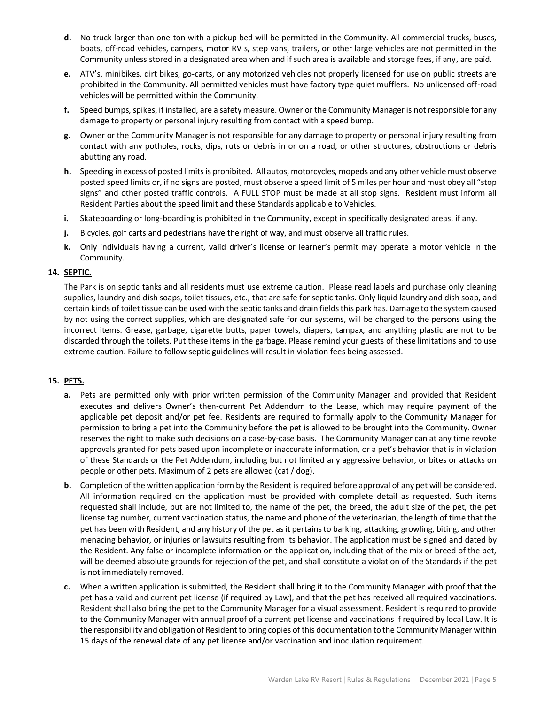- **d.** No truck larger than one-ton with a pickup bed will be permitted in the Community. All commercial trucks, buses, boats, off-road vehicles, campers, motor RV s, step vans, trailers, or other large vehicles are not permitted in the Community unless stored in a designated area when and if such area is available and storage fees, if any, are paid.
- **e.** ATV's, minibikes, dirt bikes, go-carts, or any motorized vehicles not properly licensed for use on public streets are prohibited in the Community. All permitted vehicles must have factory type quiet mufflers. No unlicensed off-road vehicles will be permitted within the Community.
- **f.** Speed bumps, spikes, if installed, are a safety measure. Owner or the Community Manager is not responsible for any damage to property or personal injury resulting from contact with a speed bump.
- **g.** Owner or the Community Manager is not responsible for any damage to property or personal injury resulting from contact with any potholes, rocks, dips, ruts or debris in or on a road, or other structures, obstructions or debris abutting any road.
- **h.** Speeding in excess of posted limits is prohibited. All autos, motorcycles, mopeds and any other vehicle must observe posted speed limits or, if no signs are posted, must observe a speed limit of 5 miles per hour and must obey all "stop signs" and other posted traffic controls. A FULL STOP must be made at all stop signs. Resident must inform all Resident Parties about the speed limit and these Standards applicable to Vehicles.
- **i.** Skateboarding or long-boarding is prohibited in the Community, except in specifically designated areas, if any.
- **j.** Bicycles, golf carts and pedestrians have the right of way, and must observe all traffic rules.
- **k.** Only individuals having a current, valid driver's license or learner's permit may operate a motor vehicle in the Community.

#### **14. SEPTIC.**

The Park is on septic tanks and all residents must use extreme caution. Please read labels and purchase only cleaning supplies, laundry and dish soaps, toilet tissues, etc., that are safe for septic tanks. Only liquid laundry and dish soap, and certain kinds of toilet tissue can be used with the septic tanks and drain fields this park has. Damage to the system caused by not using the correct supplies, which are designated safe for our systems, will be charged to the persons using the incorrect items. Grease, garbage, cigarette butts, paper towels, diapers, tampax, and anything plastic are not to be discarded through the toilets. Put these items in the garbage. Please remind your guests of these limitations and to use extreme caution. Failure to follow septic guidelines will result in violation fees being assessed.

## **15. PETS.**

- **a.** Pets are permitted only with prior written permission of the Community Manager and provided that Resident executes and delivers Owner's then-current Pet Addendum to the Lease, which may require payment of the applicable pet deposit and/or pet fee. Residents are required to formally apply to the Community Manager for permission to bring a pet into the Community before the pet is allowed to be brought into the Community. Owner reserves the right to make such decisions on a case-by-case basis. The Community Manager can at any time revoke approvals granted for pets based upon incomplete or inaccurate information, or a pet's behavior that is in violation of these Standards or the Pet Addendum, including but not limited any aggressive behavior, or bites or attacks on people or other pets. Maximum of 2 pets are allowed (cat / dog).
- **b.** Completion of the written application form by the Resident is required before approval of any pet will be considered. All information required on the application must be provided with complete detail as requested. Such items requested shall include, but are not limited to, the name of the pet, the breed, the adult size of the pet, the pet license tag number, current vaccination status, the name and phone of the veterinarian, the length of time that the pet has been with Resident, and any history of the pet as it pertains to barking, attacking, growling, biting, and other menacing behavior, or injuries or lawsuits resulting from its behavior. The application must be signed and dated by the Resident. Any false or incomplete information on the application, including that of the mix or breed of the pet, will be deemed absolute grounds for rejection of the pet, and shall constitute a violation of the Standards if the pet is not immediately removed.
- **c.** When a written application is submitted, the Resident shall bring it to the Community Manager with proof that the pet has a valid and current pet license (if required by Law), and that the pet has received all required vaccinations. Resident shall also bring the pet to the Community Manager for a visual assessment. Resident is required to provide to the Community Manager with annual proof of a current pet license and vaccinations if required by local Law. It is the responsibility and obligation of Resident to bring copies of this documentation to the Community Manager within 15 days of the renewal date of any pet license and/or vaccination and inoculation requirement.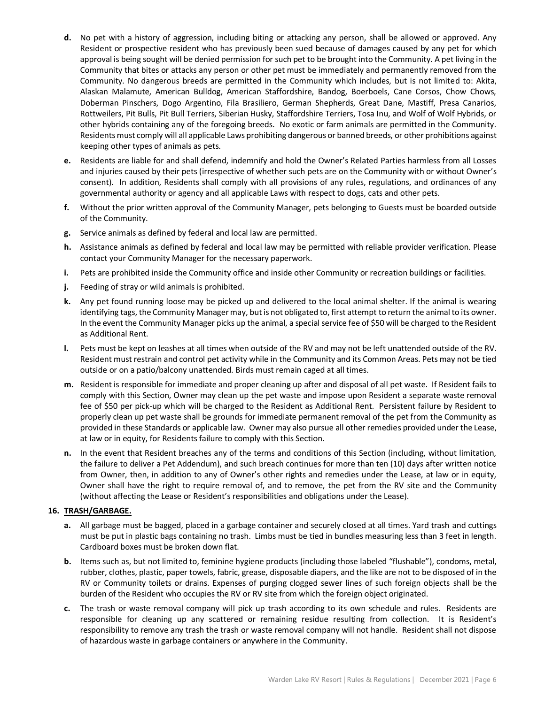- **d.** No pet with a history of aggression, including biting or attacking any person, shall be allowed or approved. Any Resident or prospective resident who has previously been sued because of damages caused by any pet for which approval is being sought will be denied permission for such pet to be brought into the Community. A pet living in the Community that bites or attacks any person or other pet must be immediately and permanently removed from the Community. No dangerous breeds are permitted in the Community which includes, but is not limited to: Akita, Alaskan Malamute, American Bulldog, American Staffordshire, Bandog, Boerboels, Cane Corsos, Chow Chows, Doberman Pinschers, Dogo Argentino, Fila Brasiliero, German Shepherds, Great Dane, Mastiff, Presa Canarios, Rottweilers, Pit Bulls, Pit Bull Terriers, Siberian Husky, Staffordshire Terriers, Tosa Inu, and Wolf of Wolf Hybrids, or other hybrids containing any of the foregoing breeds. No exotic or farm animals are permitted in the Community. Residents must comply will all applicable Laws prohibiting dangerous or banned breeds, or other prohibitions against keeping other types of animals as pets.
- **e.** Residents are liable for and shall defend, indemnify and hold the Owner's Related Parties harmless from all Losses and injuries caused by their pets (irrespective of whether such pets are on the Community with or without Owner's consent). In addition, Residents shall comply with all provisions of any rules, regulations, and ordinances of any governmental authority or agency and all applicable Laws with respect to dogs, cats and other pets.
- **f.** Without the prior written approval of the Community Manager, pets belonging to Guests must be boarded outside of the Community.
- **g.** Service animals as defined by federal and local law are permitted.
- **h.** Assistance animals as defined by federal and local law may be permitted with reliable provider verification. Please contact your Community Manager for the necessary paperwork.
- **i.** Pets are prohibited inside the Community office and inside other Community or recreation buildings or facilities.
- **j.** Feeding of stray or wild animals is prohibited.
- **k.** Any pet found running loose may be picked up and delivered to the local animal shelter. If the animal is wearing identifying tags, the Community Manager may, but is not obligated to, first attempt to return the animal to its owner. In the event the Community Manager picks up the animal, a special service fee of \$50 will be charged to the Resident as Additional Rent.
- **l.** Pets must be kept on leashes at all times when outside of the RV and may not be left unattended outside of the RV. Resident must restrain and control pet activity while in the Community and its Common Areas. Pets may not be tied outside or on a patio/balcony unattended. Birds must remain caged at all times.
- **m.** Resident is responsible for immediate and proper cleaning up after and disposal of all pet waste. If Resident fails to comply with this Section, Owner may clean up the pet waste and impose upon Resident a separate waste removal fee of \$50 per pick-up which will be charged to the Resident as Additional Rent. Persistent failure by Resident to properly clean up pet waste shall be grounds for immediate permanent removal of the pet from the Community as provided in these Standards or applicable law. Owner may also pursue all other remedies provided under the Lease, at law or in equity, for Residents failure to comply with this Section.
- **n.** In the event that Resident breaches any of the terms and conditions of this Section (including, without limitation, the failure to deliver a Pet Addendum), and such breach continues for more than ten (10) days after written notice from Owner, then, in addition to any of Owner's other rights and remedies under the Lease, at law or in equity, Owner shall have the right to require removal of, and to remove, the pet from the RV site and the Community (without affecting the Lease or Resident's responsibilities and obligations under the Lease).

#### **16. TRASH/GARBAGE.**

- **a.** All garbage must be bagged, placed in a garbage container and securely closed at all times. Yard trash and cuttings must be put in plastic bags containing no trash. Limbs must be tied in bundles measuring less than 3 feet in length. Cardboard boxes must be broken down flat.
- **b.** Items such as, but not limited to, feminine hygiene products (including those labeled "flushable"), condoms, metal, rubber, clothes, plastic, paper towels, fabric, grease, disposable diapers, and the like are not to be disposed of in the RV or Community toilets or drains. Expenses of purging clogged sewer lines of such foreign objects shall be the burden of the Resident who occupies the RV or RV site from which the foreign object originated.
- **c.** The trash or waste removal company will pick up trash according to its own schedule and rules. Residents are responsible for cleaning up any scattered or remaining residue resulting from collection. It is Resident's responsibility to remove any trash the trash or waste removal company will not handle. Resident shall not dispose of hazardous waste in garbage containers or anywhere in the Community.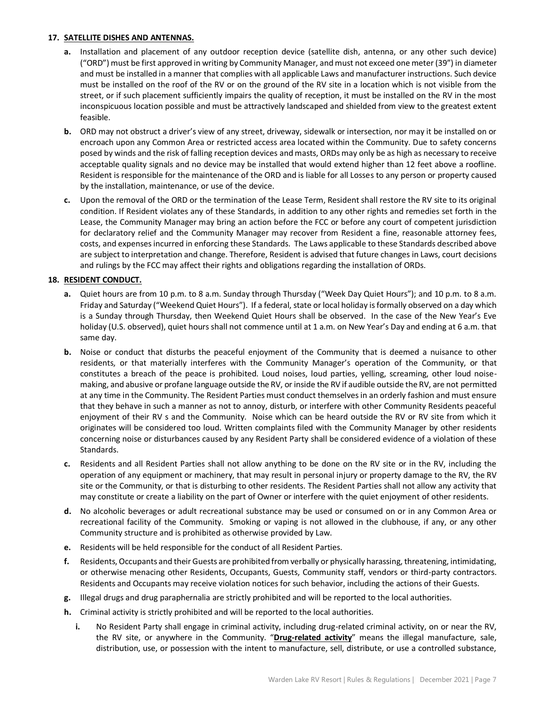## **17. SATELLITE DISHES AND ANTENNAS.**

- **a.** Installation and placement of any outdoor reception device (satellite dish, antenna, or any other such device) ("ORD") must be first approved in writing by Community Manager, and must not exceed one meter (39") in diameter and must be installed in a manner that complies with all applicable Laws and manufacturer instructions. Such device must be installed on the roof of the RV or on the ground of the RV site in a location which is not visible from the street, or if such placement sufficiently impairs the quality of reception, it must be installed on the RV in the most inconspicuous location possible and must be attractively landscaped and shielded from view to the greatest extent feasible.
- **b.** ORD may not obstruct a driver's view of any street, driveway, sidewalk or intersection, nor may it be installed on or encroach upon any Common Area or restricted access area located within the Community. Due to safety concerns posed by winds and the risk of falling reception devices and masts, ORDs may only be as high as necessary to receive acceptable quality signals and no device may be installed that would extend higher than 12 feet above a roofline. Resident is responsible for the maintenance of the ORD and is liable for all Losses to any person or property caused by the installation, maintenance, or use of the device.
- **c.** Upon the removal of the ORD or the termination of the Lease Term, Resident shall restore the RV site to its original condition. If Resident violates any of these Standards, in addition to any other rights and remedies set forth in the Lease, the Community Manager may bring an action before the FCC or before any court of competent jurisdiction for declaratory relief and the Community Manager may recover from Resident a fine, reasonable attorney fees, costs, and expenses incurred in enforcing these Standards. The Laws applicable to these Standards described above are subject to interpretation and change. Therefore, Resident is advised that future changes in Laws, court decisions and rulings by the FCC may affect their rights and obligations regarding the installation of ORDs.

## **18. RESIDENT CONDUCT.**

- **a.** Quiet hours are from 10 p.m. to 8 a.m. Sunday through Thursday ("Week Day Quiet Hours"); and 10 p.m. to 8 a.m. Friday and Saturday ("Weekend Quiet Hours"). If a federal, state or local holiday is formally observed on a day which is a Sunday through Thursday, then Weekend Quiet Hours shall be observed. In the case of the New Year's Eve holiday (U.S. observed), quiet hours shall not commence until at 1 a.m. on New Year's Day and ending at 6 a.m. that same day.
- **b.** Noise or conduct that disturbs the peaceful enjoyment of the Community that is deemed a nuisance to other residents, or that materially interferes with the Community Manager's operation of the Community, or that constitutes a breach of the peace is prohibited. Loud noises, loud parties, yelling, screaming, other loud noisemaking, and abusive or profane language outside the RV, or inside the RV if audible outside the RV, are not permitted at any time in the Community. The Resident Parties must conduct themselves in an orderly fashion and must ensure that they behave in such a manner as not to annoy, disturb, or interfere with other Community Residents peaceful enjoyment of their RV s and the Community. Noise which can be heard outside the RV or RV site from which it originates will be considered too loud. Written complaints filed with the Community Manager by other residents concerning noise or disturbances caused by any Resident Party shall be considered evidence of a violation of these Standards.
- **c.** Residents and all Resident Parties shall not allow anything to be done on the RV site or in the RV, including the operation of any equipment or machinery, that may result in personal injury or property damage to the RV, the RV site or the Community, or that is disturbing to other residents. The Resident Parties shall not allow any activity that may constitute or create a liability on the part of Owner or interfere with the quiet enjoyment of other residents.
- **d.** No alcoholic beverages or adult recreational substance may be used or consumed on or in any Common Area or recreational facility of the Community. Smoking or vaping is not allowed in the clubhouse, if any, or any other Community structure and is prohibited as otherwise provided by Law.
- **e.** Residents will be held responsible for the conduct of all Resident Parties.
- **f.** Residents, Occupants and their Guests are prohibited from verbally or physically harassing, threatening, intimidating, or otherwise menacing other Residents, Occupants, Guests, Community staff, vendors or third-party contractors. Residents and Occupants may receive violation notices for such behavior, including the actions of their Guests.
- **g.** Illegal drugs and drug paraphernalia are strictly prohibited and will be reported to the local authorities.
- **h.** Criminal activity is strictly prohibited and will be reported to the local authorities.
	- **i.** No Resident Party shall engage in criminal activity, including drug-related criminal activity, on or near the RV, the RV site, or anywhere in the Community. "**Drug-related activity**" means the illegal manufacture, sale, distribution, use, or possession with the intent to manufacture, sell, distribute, or use a controlled substance,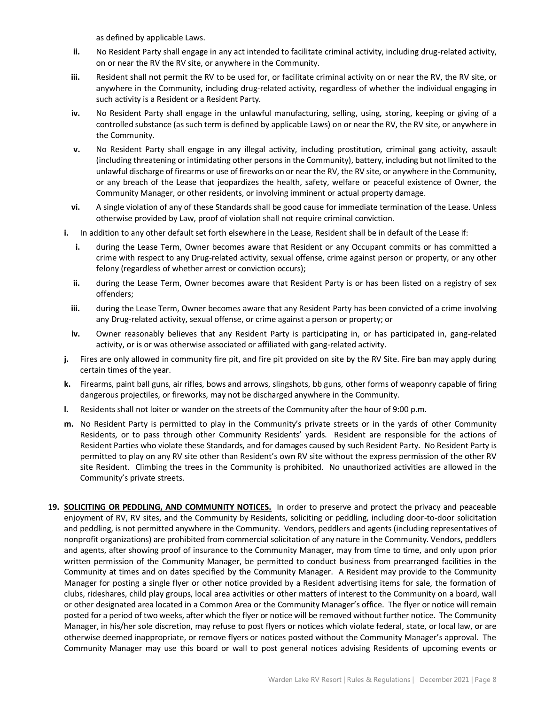as defined by applicable Laws.

- **ii.** No Resident Party shall engage in any act intended to facilitate criminal activity, including drug-related activity, on or near the RV the RV site, or anywhere in the Community.
- **iii.** Resident shall not permit the RV to be used for, or facilitate criminal activity on or near the RV, the RV site, or anywhere in the Community, including drug-related activity, regardless of whether the individual engaging in such activity is a Resident or a Resident Party.
- **iv.** No Resident Party shall engage in the unlawful manufacturing, selling, using, storing, keeping or giving of a controlled substance (as such term is defined by applicable Laws) on or near the RV, the RV site, or anywhere in the Community.
- **v.** No Resident Party shall engage in any illegal activity, including prostitution, criminal gang activity, assault (including threatening or intimidating other persons in the Community), battery, including but not limited to the unlawful discharge of firearms or use of fireworks on or near the RV, the RV site, or anywhere in the Community, or any breach of the Lease that jeopardizes the health, safety, welfare or peaceful existence of Owner, the Community Manager, or other residents, or involving imminent or actual property damage.
- **vi.** A single violation of any of these Standards shall be good cause for immediate termination of the Lease. Unless otherwise provided by Law, proof of violation shall not require criminal conviction.
- **i.** In addition to any other default set forth elsewhere in the Lease, Resident shall be in default of the Lease if:
	- **i.** during the Lease Term, Owner becomes aware that Resident or any Occupant commits or has committed a crime with respect to any Drug-related activity, sexual offense, crime against person or property, or any other felony (regardless of whether arrest or conviction occurs);
	- **ii.** during the Lease Term, Owner becomes aware that Resident Party is or has been listed on a registry of sex offenders;
	- **iii.** during the Lease Term, Owner becomes aware that any Resident Party has been convicted of a crime involving any Drug-related activity, sexual offense, or crime against a person or property; or
	- **iv.** Owner reasonably believes that any Resident Party is participating in, or has participated in, gang-related activity, or is or was otherwise associated or affiliated with gang-related activity.
- **j.** Fires are only allowed in community fire pit, and fire pit provided on site by the RV Site. Fire ban may apply during certain times of the year.
- **k.** Firearms, paint ball guns, air rifles, bows and arrows, slingshots, bb guns, other forms of weaponry capable of firing dangerous projectiles, or fireworks, may not be discharged anywhere in the Community.
- **l.** Residents shall not loiter or wander on the streets of the Community after the hour of 9:00 p.m.
- **m.** No Resident Party is permitted to play in the Community's private streets or in the yards of other Community Residents, or to pass through other Community Residents' yards. Resident are responsible for the actions of Resident Parties who violate these Standards, and for damages caused by such Resident Party. No Resident Party is permitted to play on any RV site other than Resident's own RV site without the express permission of the other RV site Resident. Climbing the trees in the Community is prohibited. No unauthorized activities are allowed in the Community's private streets.
- **19. SOLICITING OR PEDDLING, AND COMMUNITY NOTICES.** In order to preserve and protect the privacy and peaceable enjoyment of RV, RV sites, and the Community by Residents, soliciting or peddling, including door-to-door solicitation and peddling, is not permitted anywhere in the Community. Vendors, peddlers and agents (including representatives of nonprofit organizations) are prohibited from commercial solicitation of any nature in the Community. Vendors, peddlers and agents, after showing proof of insurance to the Community Manager, may from time to time, and only upon prior written permission of the Community Manager, be permitted to conduct business from prearranged facilities in the Community at times and on dates specified by the Community Manager. A Resident may provide to the Community Manager for posting a single flyer or other notice provided by a Resident advertising items for sale, the formation of clubs, rideshares, child play groups, local area activities or other matters of interest to the Community on a board, wall or other designated area located in a Common Area or the Community Manager's office. The flyer or notice will remain posted for a period of two weeks, after which the flyer or notice will be removed without further notice. The Community Manager, in his/her sole discretion, may refuse to post flyers or notices which violate federal, state, or local law, or are otherwise deemed inappropriate, or remove flyers or notices posted without the Community Manager's approval. The Community Manager may use this board or wall to post general notices advising Residents of upcoming events or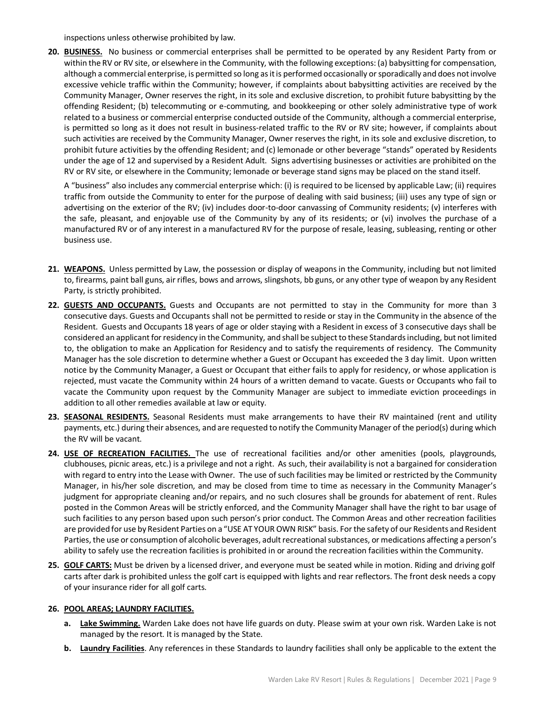inspections unless otherwise prohibited by law.

**20. BUSINESS.** No business or commercial enterprises shall be permitted to be operated by any Resident Party from or within the RV or RV site, or elsewhere in the Community, with the following exceptions: (a) babysitting for compensation, although a commercial enterprise, is permitted so long as it is performed occasionally or sporadically and does not involve excessive vehicle traffic within the Community; however, if complaints about babysitting activities are received by the Community Manager, Owner reserves the right, in its sole and exclusive discretion, to prohibit future babysitting by the offending Resident; (b) telecommuting or e-commuting, and bookkeeping or other solely administrative type of work related to a business or commercial enterprise conducted outside of the Community, although a commercial enterprise, is permitted so long as it does not result in business-related traffic to the RV or RV site; however, if complaints about such activities are received by the Community Manager, Owner reserves the right, in its sole and exclusive discretion, to prohibit future activities by the offending Resident; and (c) lemonade or other beverage "stands" operated by Residents under the age of 12 and supervised by a Resident Adult. Signs advertising businesses or activities are prohibited on the RV or RV site, or elsewhere in the Community; lemonade or beverage stand signs may be placed on the stand itself.

A "business" also includes any commercial enterprise which: (i) is required to be licensed by applicable Law; (ii) requires traffic from outside the Community to enter for the purpose of dealing with said business; (iii) uses any type of sign or advertising on the exterior of the RV; (iv) includes door-to-door canvassing of Community residents; (v) interferes with the safe, pleasant, and enjoyable use of the Community by any of its residents; or (vi) involves the purchase of a manufactured RV or of any interest in a manufactured RV for the purpose of resale, leasing, subleasing, renting or other business use.

- **21. WEAPONS.** Unless permitted by Law, the possession or display of weapons in the Community, including but not limited to, firearms, paint ball guns, air rifles, bows and arrows, slingshots, bb guns, or any other type of weapon by any Resident Party, is strictly prohibited.
- **22. GUESTS AND OCCUPANTS.** Guests and Occupants are not permitted to stay in the Community for more than 3 consecutive days. Guests and Occupants shall not be permitted to reside or stay in the Community in the absence of the Resident. Guests and Occupants 18 years of age or older staying with a Resident in excess of 3 consecutive days shall be considered an applicant for residency in the Community, and shall be subject to these Standards including, but not limited to, the obligation to make an Application for Residency and to satisfy the requirements of residency. The Community Manager has the sole discretion to determine whether a Guest or Occupant has exceeded the 3 day limit. Upon written notice by the Community Manager, a Guest or Occupant that either fails to apply for residency, or whose application is rejected, must vacate the Community within 24 hours of a written demand to vacate. Guests or Occupants who fail to vacate the Community upon request by the Community Manager are subject to immediate eviction proceedings in addition to all other remedies available at law or equity.
- **23. SEASONAL RESIDENTS.** Seasonal Residents must make arrangements to have their RV maintained (rent and utility payments, etc.) during their absences, and are requested to notify the Community Manager of the period(s) during which the RV will be vacant.
- **24. USE OF RECREATION FACILITIES.** The use of recreational facilities and/or other amenities (pools, playgrounds, clubhouses, picnic areas, etc.) is a privilege and not a right. As such, their availability is not a bargained for consideration with regard to entry into the Lease with Owner. The use of such facilities may be limited or restricted by the Community Manager, in his/her sole discretion, and may be closed from time to time as necessary in the Community Manager's judgment for appropriate cleaning and/or repairs, and no such closures shall be grounds for abatement of rent. Rules posted in the Common Areas will be strictly enforced, and the Community Manager shall have the right to bar usage of such facilities to any person based upon such person's prior conduct. The Common Areas and other recreation facilities are provided for use by Resident Parties on a "USE AT YOUR OWN RISK" basis. For the safety of our Residents and Resident Parties, the use or consumption of alcoholic beverages, adult recreational substances, or medications affecting a person's ability to safely use the recreation facilities is prohibited in or around the recreation facilities within the Community.
- **25. GOLF CARTS:** Must be driven by a licensed driver, and everyone must be seated while in motion. Riding and driving golf carts after dark is prohibited unless the golf cart is equipped with lights and rear reflectors. The front desk needs a copy of your insurance rider for all golf carts.

## **26. POOL AREAS; LAUNDRY FACILITIES.**

- **a. Lake Swimming.** Warden Lake does not have life guards on duty. Please swim at your own risk. Warden Lake is not managed by the resort. It is managed by the State.
- **b. Laundry Facilities**. Any references in these Standards to laundry facilities shall only be applicable to the extent the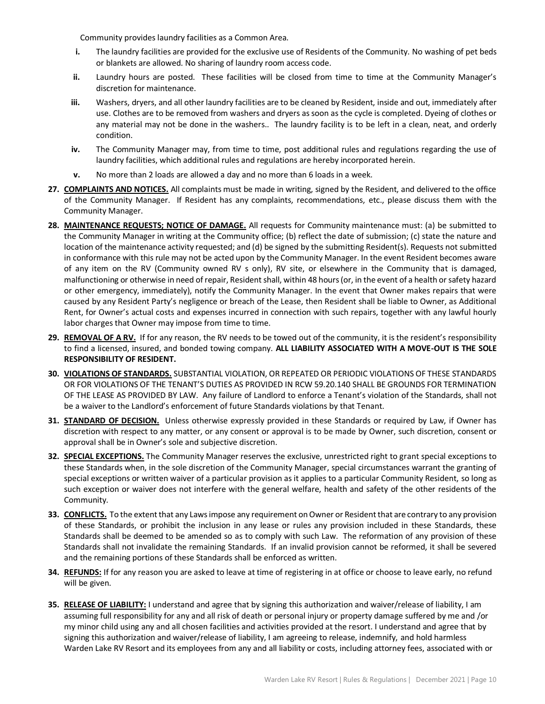Community provides laundry facilities as a Common Area.

- **i.** The laundry facilities are provided for the exclusive use of Residents of the Community. No washing of pet beds or blankets are allowed. No sharing of laundry room access code.
- **ii.** Laundry hours are posted. These facilities will be closed from time to time at the Community Manager's discretion for maintenance.
- **iii.** Washers, dryers, and all other laundry facilities are to be cleaned by Resident, inside and out, immediately after use. Clothes are to be removed from washers and dryers as soon as the cycle is completed. Dyeing of clothes or any material may not be done in the washers.. The laundry facility is to be left in a clean, neat, and orderly condition.
- **iv.** The Community Manager may, from time to time, post additional rules and regulations regarding the use of laundry facilities, which additional rules and regulations are hereby incorporated herein.
- **v.** No more than 2 loads are allowed a day and no more than 6 loads in a week.
- **27. COMPLAINTS AND NOTICES.** All complaints must be made in writing, signed by the Resident, and delivered to the office of the Community Manager. If Resident has any complaints, recommendations, etc., please discuss them with the Community Manager.
- **28. MAINTENANCE REQUESTS; NOTICE OF DAMAGE.** All requests for Community maintenance must: (a) be submitted to the Community Manager in writing at the Community office; (b) reflect the date of submission; (c) state the nature and location of the maintenance activity requested; and (d) be signed by the submitting Resident(s). Requests not submitted in conformance with this rule may not be acted upon by the Community Manager. In the event Resident becomes aware of any item on the RV (Community owned RV s only), RV site, or elsewhere in the Community that is damaged, malfunctioning or otherwise in need of repair, Resident shall, within 48 hours (or, in the event of a health or safety hazard or other emergency, immediately), notify the Community Manager. In the event that Owner makes repairs that were caused by any Resident Party's negligence or breach of the Lease, then Resident shall be liable to Owner, as Additional Rent, for Owner's actual costs and expenses incurred in connection with such repairs, together with any lawful hourly labor charges that Owner may impose from time to time.
- **29. REMOVAL OF A RV.** If for any reason, the RV needs to be towed out of the community, it is the resident's responsibility to find a licensed, insured, and bonded towing company. **ALL LIABILITY ASSOCIATED WITH A MOVE-OUT IS THE SOLE RESPONSIBILITY OF RESIDENT.**
- **30. VIOLATIONS OF STANDARDS.** SUBSTANTIAL VIOLATION, OR REPEATED OR PERIODIC VIOLATIONS OF THESE STANDARDS OR FOR VIOLATIONS OF THE TENANT'S DUTIES AS PROVIDED IN RCW 59.20.140 SHALL BE GROUNDS FOR TERMINATION OF THE LEASE AS PROVIDED BY LAW. Any failure of Landlord to enforce a Tenant's violation of the Standards, shall not be a waiver to the Landlord's enforcement of future Standards violations by that Tenant.
- **31. STANDARD OF DECISION.** Unless otherwise expressly provided in these Standards or required by Law, if Owner has discretion with respect to any matter, or any consent or approval is to be made by Owner, such discretion, consent or approval shall be in Owner's sole and subjective discretion.
- **32. SPECIAL EXCEPTIONS.** The Community Manager reserves the exclusive, unrestricted right to grant special exceptions to these Standards when, in the sole discretion of the Community Manager, special circumstances warrant the granting of special exceptions or written waiver of a particular provision as it applies to a particular Community Resident, so long as such exception or waiver does not interfere with the general welfare, health and safety of the other residents of the Community.
- **33. CONFLICTS.** To the extent that any Laws impose any requirement on Owner or Resident that are contrary to any provision of these Standards, or prohibit the inclusion in any lease or rules any provision included in these Standards, these Standards shall be deemed to be amended so as to comply with such Law. The reformation of any provision of these Standards shall not invalidate the remaining Standards. If an invalid provision cannot be reformed, it shall be severed and the remaining portions of these Standards shall be enforced as written.
- **34. REFUNDS:** If for any reason you are asked to leave at time of registering in at office or choose to leave early, no refund will be given.
- **35. RELEASE OF LIABILITY:** I understand and agree that by signing this authorization and waiver/release of liability, I am assuming full responsibility for any and all risk of death or personal injury or property damage suffered by me and /or my minor child using any and all chosen facilities and activities provided at the resort. I understand and agree that by signing this authorization and waiver/release of liability, I am agreeing to release, indemnify, and hold harmless Warden Lake RV Resort and its employees from any and all liability or costs, including attorney fees, associated with or